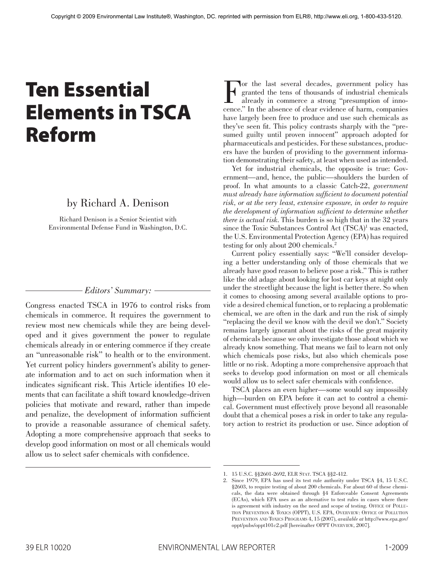# Ten Essential Elements in TSCA Reform

## by Richard A. Denison

Richard Denison is a Senior Scientist with Environmental Defense Fund in Washington, D.C.

### *Editors' Summary:*

Congress enacted TSCA in 1976 to control risks from chemicals in commerce. It requires the government to review most new chemicals while they are being developed and it gives government the power to regulate chemicals already in or entering commerce if they create an "unreasonable risk" to health or to the environment. Yet current policy hinders government's ability to generate information and to act on such information when it indicates significant risk. This Article identifies 10 elements that can facilitate a shift toward knowledge-driven policies that motivate and reward, rather than impede and penalize, the development of information sufficient to provide a reasonable assurance of chemical safety. Adopting a more comprehensive approach that seeks to develop good information on most or all chemicals would allow us to select safer chemicals with confidence.

For the last several decades, government policy has<br>
granted the tens of thousands of industrial chemicals<br>
already in commerce a strong "presumption of inno-<br>
cence " In the absence of clear evidence of harm companies granted the tens of thousands of industrial chemicals cence." In the absence of clear evidence of harm, companies have largely been free to produce and use such chemicals as they've seen fit. This policy contrasts sharply with the "presumed guilty until proven innocent" approach adopted for pharmaceuticals and pesticides. For these substances, producers have the burden of providing to the government information demonstrating their safety, at least when used as intended.

Yet for industrial chemicals, the opposite is true: Government—and, hence, the public—shoulders the burden of proof. In what amounts to a classic Catch-22, *government must already have information sufficient to document potential risk, or at the very least, extensive exposure, in order to require the development of information sufficient to determine whether there is actual risk*. This burden is so high that in the 32 years since the Toxic Substances Control Act (TSCA)<sup>1</sup> was enacted, the U.S. Environmental Protection Agency (EPA) has required testing for only about 200 chemicals. 2

Current policy essentially says: "We'll consider developing a better understanding only of those chemicals that we already have good reason to believe pose a risk." This is rather like the old adage about looking for lost car keys at night only under the streetlight because the light is better there. So when it comes to choosing among several available options to provide a desired chemical function, or to replacing a problematic chemical, we are often in the dark and run the risk of simply "replacing the devil we know with the devil we don't." Society remains largely ignorant about the risks of the great majority of chemicals because we only investigate those about which we already know something. That means we fail to learn not only which chemicals pose risks, but also which chemicals pose little or no risk. Adopting a more comprehensive approach that seeks to develop good information on most or all chemicals would allow us to select safer chemicals with confidence.

TSCA places an even higher—some would say impossibly high—burden on EPA before it can act to control a chemical. Government must effectively prove beyond all reasonable doubt that a chemical poses a risk in order to take any regulatory action to restrict its production or use. Since adoption of

<sup>1. 15</sup> U.S.C. §§2601-2692, ELR Stat. TSCA §§2-412.

<sup>2.</sup> Since 1979, EPA has used its test rule authority under TSCA §4, 15 U.S.C. §2603, to require testing of about 200 chemicals. For about 60 of these chemicals, the data were obtained through §4 Enforceable Consent Agreements (ECAs), which EPA uses as an alternative to test rules in cases where there is agreement with industry on the need and scope of testing. OFFICE OF POLLUtion Prevention & Toxics (OPPT), U.S. EPA, Overview: Office of Pollution Prevention and Toxics Programs 4, 15 (2007), *available at* http://www.epa.gov/ oppt/pubs/oppt101c2.pdf [hereinafter OPPT Overview, 2007].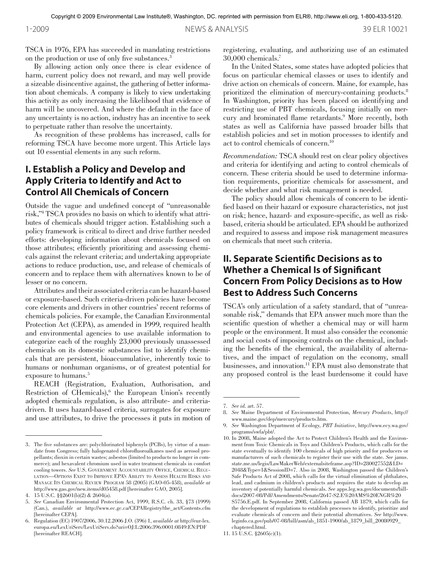TSCA in 1976, EPA has succeeded in mandating restrictions on the production or use of only five substances. 3

By allowing action only once there is clear evidence of harm, current policy does not reward, and may well provide a sizeable disincentive against, the gathering of better information about chemicals. A company is likely to view undertaking this activity as only increasing the likelihood that evidence of harm will be uncovered. And where the default in the face of any uncertainty is no action, industry has an incentive to seek to perpetuate rather than resolve the uncertainty.

As recognition of these problems has increased, calls for reforming TSCA have become more urgent. This Article lays out 10 essential elements in any such reform.

## **I. Establish a Policy and Develop and Apply Criteria to Identify and Act to Control All Chemicals of Concern**

Outside the vague and undefined concept of "unreasonable risk,"4 TSCA provides no basis on which to identify what attributes of chemicals should trigger action. Establishing such a policy framework is critical to direct and drive further needed efforts: developing information about chemicals focused on those attributes; efficiently prioritizing and assessing chemicals against the relevant criteria; and undertaking appropriate actions to reduce production, use, and release of chemicals of concern and to replace them with alternatives known to be of lesser or no concern.

Attributes and their associated criteria can be hazard-based or exposure-based. Such criteria-driven policies have become core elements and drivers in other countries' recent reforms of chemicals policies. For example, the Canadian Environmental Protection Act (CEPA), as amended in 1999, required health and environmental agencies to use available information to categorize each of the roughly 23,000 previously unassessed chemicals on its domestic substances list to identify chemicals that are persistent, bioaccumulative, inherently toxic to humans or nonhuman organisms, or of greatest potential for exposure to humans. 5

REACH (Registration, Evaluation, Authorisation, and Restriction of CHemicals),<sup>6</sup> the European Union's recently adopted chemicals regulation, is also attribute- and criteriadriven. It uses hazard-based criteria, surrogates for exposure and use attributes, to drive the processes it puts in motion of

registering, evaluating, and authorizing use of an estimated 30,000 chemicals. 7

In the United States, some states have adopted policies that focus on particular chemical classes or uses to identify and drive action on chemicals of concern. Maine, for example, has prioritized the elimination of mercury-containing products. 8 In Washington, priority has been placed on identifying and restricting use of PBT chemicals, focusing initially on mercury and brominated flame retardants. 9 More recently, both states as well as California have passed broader bills that establish policies and set in motion processes to identify and act to control chemicals of concern. 10

*Recommendation:* TSCA should rest on clear policy objectives and criteria for identifying and acting to control chemicals of concern. These criteria should be used to determine information requirements, prioritize chemicals for assessment, and decide whether and what risk management is needed.

The policy should allow chemicals of concern to be identified based on their hazard or exposure characteristics, not just on risk; hence, hazard- and exposure-specific, as well as riskbased, criteria should be articulated. EPA should be authorized and required to assess and impose risk management measures on chemicals that meet such criteria.

## **II. Separate Scientific Decisions as to Whether a Chemical Is of Significant Concern From Policy Decisions as to How Best to Address Such Concerns**

TSCA's only articulation of a safety standard, that of "unreasonable risk," demands that EPA answer much more than the scientific question of whether a chemical may or will harm people or the environment. It must also consider the economic and social costs of imposing controls on the chemical, including the benefits of the chemical, the availability of alternatives, and the impact of regulation on the economy, small businesses, and innovation. 11 EPA must also demonstrate that any proposed control is the least burdensome it could have

<sup>3.</sup> The five substances are: polychlorinated biphenyls (PCBs), by virtue of a mandate from Congress; fully halogenated chlorofluoroalkanes used as aerosol propellants; dioxin in certain wastes; asbestos (limited to products no longer in commerce); and hexavalent chromium used in water treatment chemicals in comfort cooling towers. *See* U.S. Government Accountability Office, Chemical Regulation—Options Exist to Improve EPA's Ability to Assess Health Risks and Manage Its Chemical Review Program 58 (2005) (GAO-05-458), *available at*  http://www.gao.gov/new.items/d05458.pdf [hereinafter GAO, 2005].

<sup>4. 15</sup> U.S.C. §§2601(b)(2) & 2604(a).

<sup>5.</sup> *See* Canadian Environmental Protection Act, 1999, R.S.C. ch. 33, §73 (1999) (Can.), *available at* http://www.ec.gc.ca/CEPARegistry/the\_act/Contents.cfm [hereinafter CEPA].

<sup>6.</sup> Regulation (EC) 1907/2006, 30.12.2006 J.O. (396) 1, *available at* http://eur-lex. europa.eu/LexUriServ/LexUriServ.do?uri=OJ:L:2006:396:0001:0849:EN:PDF [hereinafter REACH].

<sup>7.</sup> *See id.* art. 57.

<sup>8.</sup> *See* Maine Department of Environmental Protection, *Mercury Products*, http:// www.maine.gov/dep/mercury/products.htm.

<sup>9.</sup> *See* Washington Department of Ecology, *PBT Initia*tive, http://www.ecy.wa.gov/ programs/swfa/pbt/.

<sup>10.</sup> In 2008, Maine adopted the Act to Protect Children's Health and the Environment from Toxic Chemicals in Toys and Children's Products, which calls for the state eventually to identify 100 chemicals of high priority and for producers or manufacturers of such chemicals to register their use with the state. *See* janus. state.me.us/legis/LawMakerWeb/externalsiteframe.asp?ID=280027552&LD= 2048&Type=1&SessionID=7. Also in 2008, Washington passed the Children's Safe Products Act of 2008, which calls for the virtual elimination of phthalates, lead, and cadmium in children's products and requires the state to develop an inventory of potentially harmful chemicals. *See* apps.leg.wa.gov/documents/billdocs/2007-08/Pdf/Amendments/Senate/2647-S2.E%20AMS%20ENGR%20 S5756.E.pdf. In September 2008, California passed AB 1879, which calls for the development of regulations to establish processes to identify, prioritize and evaluate chemicals of concern and their potential alternatives. *See* http://www. leginfo.ca.gov/pub/07-08/bill/asm/ab\_1851-1900/ab\_1879\_bill\_20080929\_ chaptered.html.

<sup>11.</sup> 15 U.S.C. §2605(c)(1).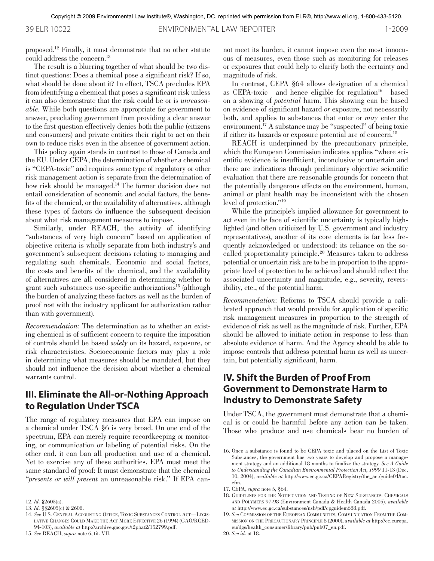39 ELR 10022 ENVIRONMENTAL LAW REPORTER 1-2009

proposed. 12 Finally, it must demonstrate that no other statute could address the concern. 13

The result is a blurring together of what should be two distinct questions: Does a chemical pose a significant risk? If so, what should be done about it? In effect, TSCA precludes EPA from identifying a chemical that poses a significant risk unless it can also demonstrate that the risk could be or is *unreasonable*. While both questions are appropriate for government to answer, precluding government from providing a clear answer to the first question effectively denies both the public (citizens and consumers) and private entities their right to act on their own to reduce risks even in the absence of government action.

This policy again stands in contrast to those of Canada and the EU. Under CEPA, the determination of whether a chemical is "CEPA-toxic" and requires some type of regulatory or other risk management action is separate from the determination of how risk should be managed. 14 The former decision does not entail consideration of economic and social factors, the benefits of the chemical, or the availability of alternatives, although these types of factors do influence the subsequent decision about what risk management measures to impose.

Similarly, under REACH, the activity of identifying "substances of very high concern" based on application of objective criteria is wholly separate from both industry's and government's subsequent decisions relating to managing and regulating such chemicals. Economic and social factors, the costs and benefits of the chemical, and the availability of alternatives are all considered in determining whether to grant such substances use-specific authorizations15 (although the burden of analyzing these factors as well as the burden of proof rest with the industry applicant for authorization rather than with government).

*Recommendation:* The determination as to whether an existing chemical is of sufficient concern to require the imposition of controls should be based *solely* on its hazard, exposure, or risk characteristics. Socioeconomic factors may play a role in determining what measures should be mandated, but they should not influence the decision about whether a chemical warrants control.

## **III. Eliminate the All-or-Nothing Approach to Regulation Under TSCA**

The range of regulatory measures that EPA can impose on a chemical under TSCA §6 is very broad. On one end of the spectrum, EPA can merely require recordkeeping or monitoring, or communication or labeling of potential risks. On the other end, it can ban all production and use of a chemical. Yet to exercise any of these authorities, EPA must meet the same standard of proof: It must demonstrate that the chemical "*presents or will present* an unreasonable risk." If EPA cannot meet its burden, it cannot impose even the most innocuous of measures, even those such as monitoring for releases or exposures that could help to clarify both the certainty and magnitude of risk.

In contrast, CEPA §64 allows designation of a chemical as CEPA-toxic—and hence eligible for regulation<sup>16</sup>—based on a showing of *potential* harm. This showing can be based on evidence of significant hazard *or* exposure, not necessarily both, and applies to substances that enter or *may* enter the environment. 17 A substance may be "suspected" of being toxic if either its hazards or exposure potential are of concern. 18

REACH is underpinned by the precautionary principle, which the European Commission indicates applies "where scientific evidence is insufficient, inconclusive or uncertain and there are indications through preliminary objective scientific evaluation that there are reasonable grounds for concern that the potentially dangerous effects on the environment, human, animal or plant health may be inconsistent with the chosen level of protection."19

While the principle's implied allowance for government to act even in the face of scientific uncertainty is typically highlighted (and often criticized by U.S. government and industry representatives), another of its core elements is far less frequently acknowledged or understood: its reliance on the socalled proportionality principle. 20 Measures taken to address potential or uncertain risk are to be in proportion to the appropriate level of protection to be achieved and should reflect the associated uncertainty and magnitude, e.g., severity, reversibility, etc., of the potential harm.

*Recommendation*: Reforms to TSCA should provide a calibrated approach that would provide for application of specific risk management measures in proportion to the strength of evidence of risk as well as the magnitude of risk. Further, EPA should be allowed to initiate action in response to less than absolute evidence of harm. And the Agency should be able to impose controls that address potential harm as well as uncertain, but potentially significant, harm.

## **IV. Shift the Burden of Proof From Government to Demonstrate Harm to Industry to Demonstrate Safety**

Under TSCA, the government must demonstrate that a chemical is or could be harmful before any action can be taken. Those who produce and use chemicals bear no burden of

20. *See id*. at 18.

<sup>12.</sup> *Id.* §2605(a).

<sup>13.</sup> *Id.* §§2605(c) & 2608.

<sup>14.</sup> *See* U.S. General Accounting Office, Toxic Substances Control Act—Legislative Changes Could Make the Act More Effective 26 (1994) (GAO/RCED-94-103), *available at* http://archive.gao.gov/t2pbat2/152799.pdf.

<sup>15.</sup> *See* REACH, *supra* note 6, tit. VII.

<sup>16.</sup> Once a substance is found to be CEPA toxic and placed on the List of Toxic Substances, the government has two years to develop and propose a management strategy and an additional 18 months to finalize the strategy. *See A Guide to Understanding the Canadian Environmental Protection Act, 1999* 11-13 (Dec. 10, 2004), *available at* http://www.ec.gc.ca/CEPARegistry/the\_act/guide04/toc. cfm.

<sup>17.</sup> CEPA, *supra* note 5, §64.

<sup>18.</sup> Guidelines for the Notification and Testing of New Substances: Chemicals and Polymers 97-98 (Environment Canada & Health Canada 2005), *available at* http://www.ec.gc.ca/substances/nsb/pdf/cpguidem688.pdf.

<sup>19.</sup> *See* Commission of the European Communities, Communication From the Commission on the Precautionary Principle 8 (2000), *available at* http://ec.europa. eu/dgs/health\_consumer/library/pub/pub07\_en.pdf.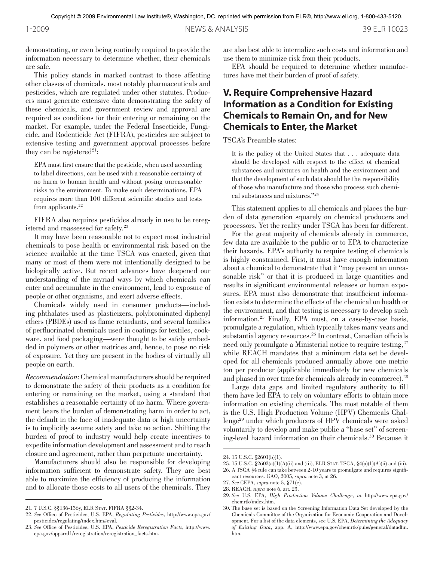demonstrating, or even being routinely required to provide the information necessary to determine whether, their chemicals are safe.

This policy stands in marked contrast to those affecting other classes of chemicals, most notably pharmaceuticals and pesticides, which are regulated under other statutes. Producers must generate extensive data demonstrating the safety of these chemicals, and government review and approval are required as conditions for their entering or remaining on the market. For example, under the Federal Insecticide, Fungicide, and Rodenticide Act (FIFRA), pesticides are subject to extensive testing and government approval processes before they can be registered<sup>21</sup>:

EPA must first ensure that the pesticide, when used according to label directions, can be used with a reasonable certainty of no harm to human health and without posing unreasonable risks to the environment. To make such determinations, EPA requires more than 100 different scientific studies and tests from applicants.<sup>22</sup>

FIFRA also requires pesticides already in use to be reregistered and reassessed for safety. 23

It may have been reasonable not to expect most industrial chemicals to pose health or environmental risk based on the science available at the time TSCA was enacted, given that many or most of them were not intentionally designed to be biologically active. But recent advances have deepened our understanding of the myriad ways by which chemicals can enter and accumulate in the environment, lead to exposure of people or other organisms, and exert adverse effects.

Chemicals widely used in consumer products—including phthalates used as plasticizers, polybrominated diphenyl ethers (PBDEs) used as flame retardants, and several families of perfluorinated chemicals used in coatings for textiles, cookware, and food packaging—were thought to be safely embedded in polymers or other matrices and, hence, to pose no risk of exposure. Yet they are present in the bodies of virtually all people on earth.

*Recommendation*: Chemical manufacturers should be required to demonstrate the safety of their products as a condition for entering or remaining on the market, using a standard that establishes a reasonable certainty of no harm. Where government bears the burden of demonstrating harm in order to act, the default in the face of inadequate data or high uncertainty is to implicitly assume safety and take no action. Shifting the burden of proof to industry would help create incentives to expedite information development and assessment and to reach closure and agreement, rather than perpetuate uncertainty.

Manufacturers should also be responsible for developing information sufficient to demonstrate safety. They are best able to maximize the efficiency of producing the information and to allocate those costs to all users of the chemicals. They are also best able to internalize such costs and information and use them to minimize risk from their products.

EPA should be required to determine whether manufactures have met their burden of proof of safety.

## **V. Require Comprehensive Hazard Information as a Condition for Existing Chemicals to Remain On, and for New Chemicals to Enter, the Market**

#### TSCA's Preamble states:

It is the policy of the United States that ... adequate data should be developed with respect to the effect of chemical substances and mixtures on health and the environment and that the development of such data should be the responsibility of those who manufacture and those who process such chemical substances and mixtures."24

This statement applies to all chemicals and places the burden of data generation squarely on chemical producers and processors. Yet the reality under TSCA has been far different.

For the great majority of chemicals already in commerce, few data are available to the public or to EPA to characterize their hazards. EPA's authority to require testing of chemicals is highly constrained. First, it must have enough information about a chemical to demonstrate that it "may present an unreasonable risk" or that it is produced in large quantities and results in significant environmental releases or human exposures. EPA must also demonstrate that insufficient information exists to determine the effects of the chemical on health or the environment, and that testing is necessary to develop such information. 25 Finally, EPA must, on a case-by-case basis, promulgate a regulation, which typically takes many years and substantial agency resources. 26 In contrast, Canadian officials need only promulgate a Ministerial notice to require testing,<sup>27</sup> while REACH mandates that a minimum data set be developed for all chemicals produced annually above one metric ton per producer (applicable immediately for new chemicals and phased in over time for chemicals already in commerce). 28

Large data gaps and limited regulatory authority to fill them have led EPA to rely on voluntary efforts to obtain more information on existing chemicals. The most notable of them is the U.S. High Production Volume (HPV) Chemicals Challenge29 under which producers of HPV chemicals were asked voluntarily to develop and make public a "base set" of screening-level hazard information on their chemicals. 30 Because it

<sup>21.</sup> 7 U.S.C. §§136-136y, ELR Stat. FIFRA §§2-34.

<sup>22.</sup> *See* Office of Pesticides, U.S. EPA, *Regulating Pesticides*, http://www.epa.gov/ pesticides/regulating/index.htm#eval.

<sup>23.</sup> *See* Office of Pesticides, U.S. EPA, *Pesticide Reregistration Facts*, http://www. epa.gov/oppsrrd1/reregistration/reregistration\_facts.htm.

<sup>24.</sup> 15 U.S.C. §2601(b)(1).

<sup>25.</sup> 15 U.S.C. §2603(a)(1)(A)(ii) and (iii), ELR Stat. TSCA, §4(a)(1)(A)(ii) and (iii).

<sup>26.</sup> A TSCA §4 rule can take between 2-10 years to promulgate and requires significant resources. GAO, 2005, *supra* note 3, at 26.

<sup>27.</sup> *See* CEPA, *supra* note 5, §71(c).

<sup>28.</sup> REACH, *supra* note 6, art. 23.

<sup>29.</sup> *See* U.S. EPA, *High Production Volume Challenge*, *at* http://www.epa.gov/ chemrtk/index.htm.

<sup>30.</sup> The base set is based on the Screening Information Data Set developed by the Chemicals Committee of the Organization for Economic Cooperation and Development. For a list of the data elements, see U.S. EPA, *Determining the Adequacy of Existing Data*, app. A, http://www.epa.gov/chemrtk/pubs/general/datadfin. htm.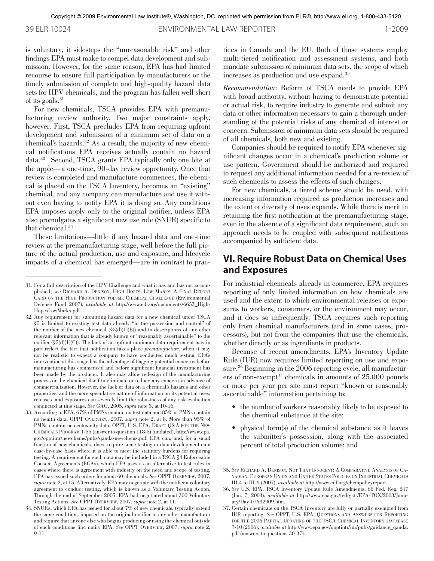39 ELR 10024 ENVIRONMENTAL LAW REPORTER 1-2009

is voluntary, it sidesteps the "unreasonable risk" and other findings EPA must make to compel data development and submission. However, for the same reason, EPA has had limited recourse to ensure full participation by manufacturers or the timely submission of complete and high-quality hazard data sets for HPV chemicals, and the program has fallen well short of its goals. 31

For new chemicals, TSCA provides EPA with premanufacturing review authority. Two major constraints apply, however. First, TSCA precludes EPA from requiring upfront development and submission of a minimum set of data on a chemical's hazards. 32 As a result, the majority of new chemical notifications EPA receives actually contain no hazard data. <sup>33</sup> Second, TSCA grants EPA typically only one bite at the apple—a one-time, 90-day review opportunity. Once that review is completed and manufacture commences, the chemical is placed on the TSCA Inventory, becomes an "existing" chemical, and any company can manufacture and use it without even having to notify EPA it is doing so. Any conditions EPA imposes apply only to the original notifier, unless EPA also promulgates a significant new use rule (SNUR) specific to that chemical. 34

These limitations—little if any hazard data and one-time review at the premanufacturing stage, well before the full picture of the actual production, use and exposure, and lifecycle impacts of a chemical has emerged—are in contrast to practices in Canada and the EU. Both of those systems employ multi-tiered notification and assessment systems, and both mandate submission of minimum data sets, the scope of which increases as production and use expand. 35

*Recommendation*: Reform of TSCA needs to provide EPA with broad authority, without having to demonstrate potential or actual risk, to require industry to generate and submit any data or other information necessary to gain a thorough understanding of the potential risks of any chemical of interest or concern. Submission of minimum data sets should be required of all chemicals, both new and existing.

Companies should be required to notify EPA whenever significant changes occur in a chemical's production volume or use pattern. Government should be authorized and required to request any additional information needed for a re-review of such chemicals to assess the effects of such changes.

For new chemicals, a tiered scheme should be used, with increasing information required as production increases and the extent or diversity of uses expands. While there is merit in retaining the first notification at the premanufacturing stage, even in the absence of a significant data requirement, such an approach needs to be coupled with subsequent notifications accompanied by sufficient data.

## **VI. Require Robust Data on Chemical Uses and Exposures**

For industrial chemicals already in commerce, EPA requires reporting of only limited information on how chemicals are used and the extent to which environmental releases or exposures to workers, consumers, or the environment may occur, and it does so infrequently. TSCA requires such reporting only from chemical manufacturers (and in some cases, processors), but not from the companies that use the chemicals, whether directly or as ingredients in products.

Because of recent amendments, EPA's Inventory Update Rule (IUR) now requires limited reporting on use and exposure. 36 Beginning in the 2006 reporting cycle, all manufacturers of non-exempt $37$  chemicals in amounts of  $25,000$  pounds or more per year per site must report "known or reasonably ascertainable" information pertaining to:

- the number of workers reasonably likely to be exposed to the chemical substance at the site;
- physical form(s) of the chemical substance as it leaves the submitter's possession, along with the associated percent of total production volume; and

<sup>31.</sup> For a full description of the HPV Challenge and what it has and has not accomplished, see Richard A. Denison, High Hopes, Low Marks: A Final Report Card on the High Production Volume Chemical Challenge (Environmental Defense Fund 2007), *available at* http://www.edf.org/documents/6653\_High-HopesLowMarks.pdf.

<sup>32.</sup> Any requirement for submitting hazard data for a new chemical under TSCA §5 is limited to existing test data already "in the possession and control" of the notifier of the new chemical  $(\S5(d)(1)(B))$  and to descriptions of any other relevant information that is already known or "reasonably ascertainable" to the notifier (§5(d)(1)(C)). The lack of an upfront minimum data requirement may in part reflect the fact that notification takes place *premanufacture*, when it may not be realistic to expect a company to have conducted much testing. EPA's intervention at this stage has the advantage of flagging potential concerns before manufacturing has commenced and before significant financial investment has been made by the producer. It also may allow redesign of the manufacturing process or the chemical itself to eliminate or reduce any concern in advance of commercialization. However, the lack of data on a chemical's hazards and other properties, and the more speculative nature of information on its potential uses, releases, and exposures can severely limit the robustness of any risk evaluation conducted at this stage. *See* GAO, 2005, *supra* note 3, at 10-16.

<sup>33.</sup> According to EPA, 67% of PMNs contain no test data and 85% of PMNs contain no health data. OPPT Overview, 2007, *supra* note 2, at 8. More than 95% of PMNs contain no ecotoxicity data. OPPT, U.S. EPA, DRAFT Q&A FOR THE NEW Chemicals Program 1-55 (answer to question 118-5) (undated), http://www.epa. gov/opptintr/newchems/pubs/qanda-newchems.pdf. EPA can, and, for a small fraction of new chemicals, does, require some testing or data development on a case-by-case basis where it is able to meet the statutory burdens for requiring testing. A requirement for such data may be included in a TSCA §4 Enforceable Consent Agreements (ECAs), which EPA uses as an alternative to test rules in cases where there is agreement with industry on the need and scope of testing. EPA has issued such orders for about 60 chemicals. *See* OPPT Overview, 2007, *supra* note 2, at 15. Alternatively, EPA may negotiate with the notifier a voluntary agreement to conduct testing, which is known as a Voluntary Testing Action. Through the end of September 2005, EPA had negotiated about 300 Voluntary Testing Actions. *See* OPPT Overview, 2007, *supra* note 2, at 11.

<sup>34.</sup> SNURs, which EPA has issued for about 7% of new chemicals, typically extend the same conditions imposed on the original notifier to any other manufacturer and require that anyone else who begins producing or using the chemical outside of such conditions first notify EPA. *See* OPPT Overview, 2007, *supra* note 2, 9-11.

<sup>35.</sup> *See* Richard A. Denison, Not That Innocent: A Comparative Analysis of Canadian, European Union and United States Policies on Industrial Chemicals III-4 to III-6 (2007), *available at* http://www.edf.org/chempolicyreport.

<sup>36.</sup> *See* U.S. EPA, TSCA Inventory Update Rule Amendments, 68 Fed. Reg. 847 (Jan. 7, 2003), *available at* http://www.epa.gov/fedrgstr/EPA-TOX/2003/January/Day-07/t32909.htm.

<sup>37.</sup> Certain chemicals on the TSCA Inventory are fully or partially exempted from IUR reporting. *See* OPPT, U.S. EPA, Questions and Answers for Reporting for the 2006 Partial Updating of the TSCA Chemical Inventory Database 7-10 (2006), *available at* http://www.epa.gov/opptintr/iur/pubs/guidance\_qanda. pdf (answers to questions 30-37).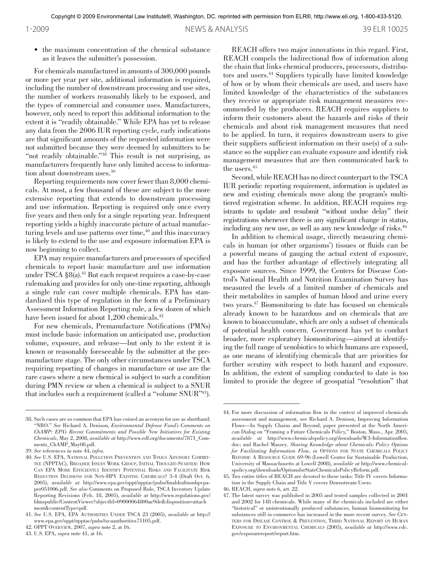• the maximum concentration of the chemical substance as it leaves the submitter's possession.

For chemicals manufactured in amounts of 300,000 pounds or more per year per site, additional information is required, including the number of downstream processing and use sites, the number of workers reasonably likely to be exposed, and the types of commercial and consumer uses. Manufacturers, however, only need to report this additional information to the extent it is "readily obtainable." While EPA has yet to release any data from the 2006 IUR reporting cycle, early indications are that significant amounts of the requested information were not submitted because they were deemed by submitters to be "not readily obtainable."<sup>38</sup> This result is not surprising, as manufacturers frequently have only limited access to information about downstream uses. 39

Reporting requirements now cover fewer than 8,000 chemicals. At most, a few thousand of these are subject to the more extensive reporting that extends to downstream processing and use information. Reporting is required only once every five years and then only for a single reporting year. Infrequent reporting yields a highly inaccurate picture of actual manufacturing levels and use patterns over time,<sup>40</sup> and this inaccuracy is likely to extend to the use and exposure information EPA is now beginning to collect.

EPA may require manufacturers and processors of specified chemicals to report basic manufacture and use information under TSCA §8(a). 41 But each request requires a case-by-case rulemaking and provides for only one-time reporting, although a single rule can cover multiple chemicals. EPA has standardized this type of regulation in the form of a Preliminary Assessment Information Reporting rule, a few dozen of which have been issued for about 1,200 chemicals. 42

For new chemicals, Premanufacture Notifications (PMNs) must include basic information on anticipated use, production volume, exposure, and release—but only to the extent it is known or reasonably foreseeable by the submitter at the premanufacture stage. The only other circumstances under TSCA requiring reporting of changes in manufacture or use are the rare cases where a new chemical is subject to such a condition during PMN review or when a chemical is subject to a SNUR that includes such a requirement (called a "volume SNUR"43).

REACH offers two major innovations in this regard. First, REACH compels the bidirectional flow of information along the chain that links chemical producers, processors, distributors and users. 44 Suppliers typically have limited knowledge of how or by whom their chemicals are used, and users have limited knowledge of the characteristics of the substances they receive or appropriate risk management measures recommended by the producers. REACH requires suppliers to inform their customers about the hazards and risks of their chemicals and about risk management measures that need to be applied. In turn, it requires downstream users to give their suppliers sufficient information on their use(s) of a substance so the supplier can evaluate exposure and identify risk management measures that are then communicated back to the users. 45

Second, while REACH has no direct counterpart to the TSCA IUR periodic reporting requirement, information is updated as new and existing chemicals move along the program's multitiered registration scheme. In addition, REACH requires registrants to update and resubmit "without undue delay" their registrations whenever there is any significant change in status, including any new use, as well as any new knowledge of risks. 46

In addition to chemical usage, directly measuring chemicals in human (or other organisms') tissues or fluids can be a powerful means of gauging the actual extent of exposure, and has the further advantage of effectively integrating all exposure sources. Since 1999, the Centers for Disease Control's National Health and Nutrition Examination Survey has measured the levels of a limited number of chemicals and their metabolites in samples of human blood and urine every two years. 47 Biomonitoring to date has focused on chemicals already known to be hazardous and on chemicals that are known to bioaccumulate, which are only a subset of chemicals of potential health concern. Government has yet to conduct broader, more exploratory biomonitoring—aimed at identifying the full range of xenobiotics to which humans are exposed, as one means of identifying chemicals that are priorities for further scrutiny with respect to both hazard and exposure. In addition, the extent of sampling conducted to date is too limited to provide the degree of geospatial "resolution" that

<sup>38.</sup> Such cases are so common that EPA has coined an acronym for use as shorthand: "NRO." *See* Richard A. Denison, *Environmental Defense Fund's Comments on ChAMP: EPA's Recent Commitments and Possible New Initiatives for Existing Chemicals*, May 2, 2008, *available at* http://www.edf.org/documents/7871\_Comments\_ChAMP\_May08.pdf.

<sup>39.</sup> *See* references in note 44, *infra*.

<sup>40.</sup> *See* U.S. EPA, National Pollution Prevention and Toxics Advisory Committee (NPPTAC), Broader Issues Work Group, Initial Thought-Starter: How Can EPA More Efficiently Identify Potential Risks and Facilitate Risk Reduction Decisions for Non-HPV Existing Chemicals? 3-4 (Draft Oct. 6, 2005), *available at* http://www.epa.gov/oppt/npptac/pubs/finaldraftnonhpvpaper051006.pdf. *See also* Comments on Proposed Rule, TSCA Inventory Update Reporting Revisions (Feb. 18, 2005), *available at* http://www.regulations.gov/ fdmspublic/ContentViewer?objectId=09000064800ae9de&disposition=attach ment&contentType=pdf.

<sup>41.</sup> *See* U.S. EPA, EPA Authorities Under TSCA 23 (2005), *available at* http:// www.epa.gov/oppt/npptac/pubs/tscaauthorities71105.pdf.

<sup>42.</sup> OPPT Overview, 2007, *supra* note 2, at 16.

<sup>43.</sup> U.S. EPA, *supra* note 41, at 16.

<sup>44.</sup> For more discussion of information flow in the context of improved chemicals assessment and management, see Richard A. Denison, Improving Information Flows—In Supply Chains and Beyond, paper presented at the North American Dialog on "Framing a Future Chemicals Policy," Boston, Mass., Apr. 2005, *available at* http://www.chemicalspolicy.org/downloads/W3-Informationflow. doc; and Rachel Massey*, Sharing Knowledge about Chemicals: Policy Options for Facilitating Information Flow, in* OPTIONS FOR STATE CHEMICALS POLICY REFORM: A RESOURCE GUIDE 69-96 (Lowell Center for Sustainable Production, University of Massachusetts at Lowell 2008), *available at* http://www.chemicalspolicy.org/downloads/OptionsforStateChemicalsPolicyReform.pdf.

<sup>45.</sup> Two entire titles of REACH are devoted to these tasks: Title IV covers Information in the Supply Chain and Title V covers Downstream Users.

<sup>46.</sup> REACH, *supra* note 6, art. 22.

<sup>47.</sup> The latest survey was published in 2005 and tested samples collected in 2001 and 2002 for 148 chemicals. While many of the chemicals included are either "historical" or unintentionally produced substances, human biomonitoring for substances still in commerce has increased in the more recent survey. *See* Centers for Disease Control & Prevention, Third National Report on Human Exposure to Environmental Chemicals (2005), *available at* http://www.cdc. gov/exposurereport/report.htm.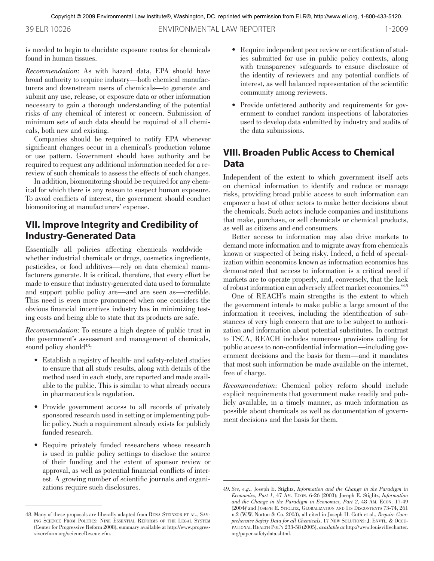Copyright © 2009 Environmental Law Institute®, Washington, DC. reprinted with permission from ELR®, http://www.eli.org, 1-800-433-5120.

39 ELR 10026 ENVIRONMENTAL LAW REPORTER 1-2009

is needed to begin to elucidate exposure routes for chemicals found in human tissues.

*Recommendation*: As with hazard data, EPA should have broad authority to require industry—both chemical manufacturers and downstream users of chemicals—to generate and submit any use, release, or exposure data or other information necessary to gain a thorough understanding of the potential risks of any chemical of interest or concern. Submission of minimum sets of such data should be required of all chemicals, both new and existing.

Companies should be required to notify EPA whenever significant changes occur in a chemical's production volume or use pattern. Government should have authority and be required to request any additional information needed for a rereview of such chemicals to assess the effects of such changes.

In addition, biomonitoring should be required for any chemical for which there is any reason to suspect human exposure. To avoid conflicts of interest, the government should conduct biomonitoring at manufacturers' expense.

## **VII. Improve Integrity and Credibility of Industry-Generated Data**

Essentially all policies affecting chemicals worldwide whether industrial chemicals or drugs, cosmetics ingredients, pesticides, or food additives—rely on data chemical manufacturers generate. It is critical, therefore, that every effort be made to ensure that industry-generated data used to formulate and support public policy are—and are seen as—credible. This need is even more pronounced when one considers the obvious financial incentives industry has in minimizing testing costs and being able to state that its products are safe.

*Recommendation*: To ensure a high degree of public trust in the government's assessment and management of chemicals, sound policy should<sup>48</sup>:

- Establish a registry of health- and safety-related studies to ensure that all study results, along with details of the method used in each study, are reported and made available to the public. This is similar to what already occurs in pharmaceuticals regulation.
- Provide government access to all records of privately sponsored research used in setting or implementing public policy. Such a requirement already exists for publicly funded research.
- Require privately funded researchers whose research is used in public policy settings to disclose the source of their funding and the extent of sponsor review or approval, as well as potential financial conflicts of interest. A growing number of scientific journals and organizations require such disclosures.
- Require independent peer review or certification of studies submitted for use in public policy contexts, along with transparency safeguards to ensure disclosure of the identity of reviewers and any potential conflicts of interest, as well balanced representation of the scientific community among reviewers.
- Provide unfettered authority and requirements for government to conduct random inspections of laboratories used to develop data submitted by industry and audits of the data submissions.

## **VIII. Broaden Public Access to Chemical Data**

Independent of the extent to which government itself acts on chemical information to identify and reduce or manage risks, providing broad public access to such information can empower a host of other actors to make better decisions about the chemicals. Such actors include companies and institutions that make, purchase, or sell chemicals or chemical products, as well as citizens and end consumers.

Better access to information may also drive markets to demand more information and to migrate away from chemicals known or suspected of being risky. Indeed, a field of specialization within economics known as information economics has demonstrated that access to information is a critical need if markets are to operate properly, and, conversely, that the lack of robust information can adversely affect market economies."49

One of REACH's main strengths is the extent to which the government intends to make public a large amount of the information it receives, including the identification of substances of very high concern that are to be subject to authorization and information about potential substitutes. In contrast to TSCA, REACH includes numerous provisions calling for public access to non-confidential information—including government decisions and the basis for them—and it mandates that most such information be made available on the internet, free of charge.

*Recommendation*: Chemical policy reform should include explicit requirements that government make readily and publicly available, in a timely manner, as much information as possible about chemicals as well as documentation of government decisions and the basis for them.

<sup>48.</sup> Many of these proposals are liberally adapted from RENA STEINZOR ET AL., SAVing Science From Politics: Nine Essential Reforms of the Legal System (Center for Progressive Reform 2008), summary available at http://www.progressivereform.org/scienceRescue.cfm.

<sup>49.</sup> *See, e.g*., Joseph E. Stiglitz, *Information and the Change in the Paradigm in Economics, Part 1,* 47 Am. Econ. 6-26 (2003); Joseph E. Stiglitz, *Information and the Change in the Paradigm in Economics, Part 2*, 48 Am. Econ. 17-49 (2004); and Joseph E. Stiglitz, Globalization and Its Discontents 73-74, 261 n.2 (W.W. Norton & Co. 2003), all cited in Joseph H. Guth et al., *Require Comprehensive Safety Data for all Chemicals*, 17 New SOLUTIONS: J. ENVTL. & OCCUpational Health Pol'y 233-58 (2005), *available at* http://www.louisvillecharter. org/paper.safetydata.shtml.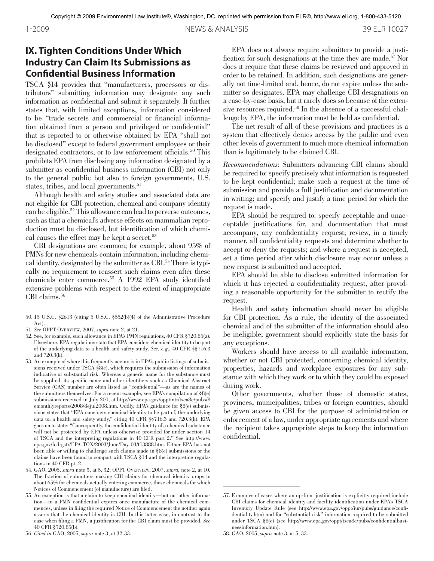## **IX. Tighten Conditions Under Which Industry Can Claim Its Submissions as Confidential Business Information**

TSCA §14 provides that "manufacturers, processors or distributors" submitting information may designate any such information as confidential and submit it separately. It further states that, with limited exceptions, information considered to be "trade secrets and commercial or financial information obtained from a person and privileged or confidential" that is reported to or otherwise obtained by EPA "shall not be disclosed" except to federal government employees or their designated contractors, or to law enforcement officials. 50 This prohibits EPA from disclosing any information designated by a submitter as confidential business information (CBI) not only to the general public but also to foreign governments, U.S. states, tribes, and local governments.<sup>51</sup>

Although health and safety studies and associated data are not eligible for CBI protection, chemical and company identity can be eligible. 52 This allowance can lead to perverse outcomes, such as that a chemical's adverse effects on mammalian reproduction must be disclosed, but identification of which chemical causes the effect may be kept a secret. 53

CBI designations are common; for example, about 95% of PMNs for new chemicals contain information, including chemical identity, designated by the submitter as CBI. 54 There is typically no requirement to reassert such claims even after these chemicals enter commerce. 55 A 1992 EPA study identified extensive problems with respect to the extent of inappropriate CBI claims. 56

56. *Cited in* GAO, 2005, *supra* note 3, at 32-33.

EPA does not always require submitters to provide a justification for such designations at the time they are made. 57 Nor does it require that these claims be reviewed and approved in order to be retained. In addition, such designations are generally not time-limited and, hence, do not expire unless the submitter so designates. EPA may challenge CBI designations on a case-by-case basis, but it rarely does so because of the extensive resources required. 58 In the absence of a successful challenge by EPA, the information must be held as confidential.

The net result of all of these provisions and practices is a system that effectively denies access by the public and even other levels of government to much more chemical information than is legitimately to be claimed CBI.

*Recommendations*: Submitters advancing CBI claims should be required to: specify precisely what information is requested to be kept confidential; make such a request at the time of submission and provide a full justification and documentation in writing; and specify and justify a time period for which the request is made.

EPA should be required to: specify acceptable and unacceptable justifications for, and documentation that must accompany, any confidentiality request; review, in a timely manner, all confidentiality requests and determine whether to accept or deny the requests; and where a request is accepted, set a time period after which disclosure may occur unless a new request is submitted and accepted.

EPA should be able to disclose submitted information for which it has rejected a confidentiality request, after providing a reasonable opportunity for the submitter to rectify the request.

Health and safety information should never be eligible for CBI protection. As a rule, the identity of the associated chemical and of the submitter of the information should also be ineligible; government should explicitly state the basis for any exceptions.

Workers should have access to all available information, whether or not CBI protected, concerning chemical identity, properties, hazards and workplace exposures for any substance with which they work or to which they could be exposed during work.

Other governments, whether those of domestic states, provinces, municipalities, tribes or foreign countries, should be given access to CBI for the purpose of administration or enforcement of a law, under appropriate agreements and where the recipient takes appropriate steps to keep the information confidential.

<sup>50.</sup> 15 U.S.C. §2613 (citing 5 U.S.C. §552(b)(4) of the Administrative Procedure Act).

<sup>51.</sup> *See* OPPT Overview, 2007, *supra* note 2, at 21.

<sup>52.</sup> See, for example, such allowance in EPA's PMN regulations, 40 CFR §720.85(a). Elsewhere, EPA regulations state that EPA considers chemical identity to be part of the underlying data to a health and safety study. *See, e.g*., 40 CFR §§716.3 and 720.3(k).

<sup>53.</sup> An example of where this frequently occurs is in EPA's public listings of submissions received under TSCA §8(e), which requires the submission of information indicative of substantial risk. Whereas a generic name for the substance must be supplied, its specific name and other identifiers such as Chemical Abstract Service (CAS) number are often listed as "confidential"—as are the names of the submitters themselves. For a recent example, see EPA's compilation of §8(e) submissions received in July 200, at http://www.epa.gov/opptintr/tsca8e/pubs/8 emonthlyreports/2008/8ejul2008.htm. Oddly, EPA's guidance for §8(e) submissions states that "EPA considers chemical identity to be part of, the underlying data to, a health and safety study," citing 40 CFR §§716.3 and 720.3(k). EPA goes on to state: "Consequently, the confidential identity of a chemical substance will not be protected by EPA unless otherwise provided for under section 14 of TSCA and the interpreting regulations in 40 CFR part 2." See http://www. epa.gov/fedrgstr/EPA-TOX/2003/June/Day-03/t13888.htm. Either EPA has not been able or willing to challenge such claims made in §8(e) submissions or the claims have been found to comport with TSCA §14 and the interpreting regulations in 40 CFR pt. 2.

<sup>54.</sup> GAO, 2005, *supra* note 3, at 5, 32; OPPT Overview, 2007, *supra,* note 2, at 10. The fraction of submitters making CBI claims for chemical identity drops to about 65% for chemicals actually entering commerce, those chemicals for which Notices of Commencement (of manufacture) are filed.

<sup>55.</sup> An exception is that a claim to keep chemical identity—but not other information—in a PMN confidential expires once manufacture of the chemical commences, unless in filing the required Notice of Commencement the notifier again asserts that the chemical identity is CBI. In this latter case, in contrast to the case when filing a PMN, a justification for the CBI claim must be provided. *See* 40 CFR §720.85(b).

<sup>57.</sup> Examples of cases where an up-front justification is explicitly required include CBI claims for chemical identity and facility identification under EPA's TSCA Inventory Update Rule (see http://www.epa.gov/oppt/iur/pubs/guidance/confidentiality.htm) and for "substantial risk" information required to be submitted under TSCA §8(e) (see http://www.epa.gov/oppt/tsca8e/pubs/confidentialbusinessinformation.htm).

<sup>58.</sup> GAO, 2005, *supra* note 3, at 5, 33.